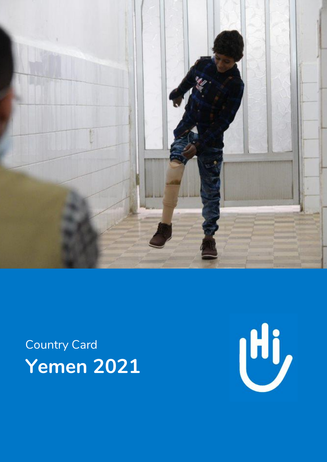

# Country Card **Yemen 2021**

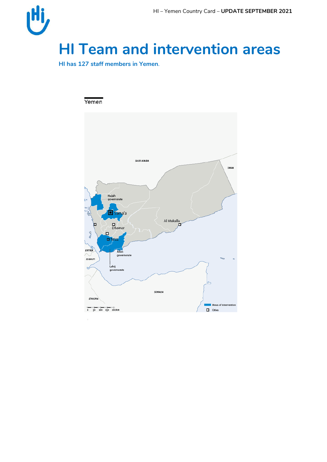

**HI has 127 staff members in Yemen**.

#### Yemen

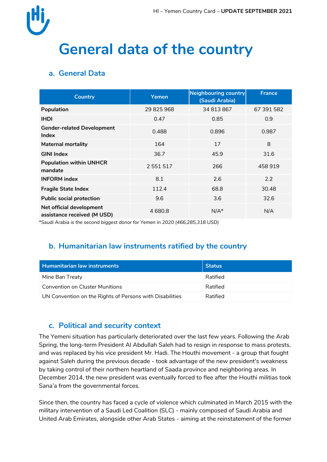

## **General data of the country**

## **a. General Data**

| <b>Country</b>                                          | Yemen         | Neighbouring country<br>(Saudi Arabia) | <b>France</b> |
|---------------------------------------------------------|---------------|----------------------------------------|---------------|
| Population                                              | 29 825 968    | 34 813 867                             | 67 391 582    |
| <b>IHDI</b>                                             | 0.47          | 0.85                                   | 0.9           |
| <b>Gender-related Development</b><br>Index              | 0.488         | 0.896                                  | 0.987         |
| <b>Maternal mortality</b>                               | 164           | 17                                     | 8             |
| <b>GINI Index</b>                                       | 36.7          | 45.9                                   | 31.6          |
| <b>Population within UNHCR</b><br>mandate               | 2 5 5 1 5 1 7 | 266                                    | 458919        |
| <b>INFORM</b> index                                     | 8.1           | 2.6                                    | 2.2           |
| <b>Fragile State Index</b>                              | 112.4         | 68.8                                   | 30.48         |
| <b>Public social protection</b>                         | 9.6           | 3.6                                    | 32.6          |
| Net official development<br>assistance received (M USD) | 4680.8        | $N/A^*$                                | N/A           |

*\*Saudi Arabia is the second biggest donor for Yemen in 2020 (466,285,318 USD)*

## **b. Humanitarian law instruments ratified by the country**

| <b>Humanitarian law instruments</b>                      | <b>Status</b> |
|----------------------------------------------------------|---------------|
| Mine Ban Treaty                                          | Ratified      |
| Convention on Cluster Munitions                          | Ratified      |
| UN Convention on the Rights of Persons with Disabilities | Ratified      |

### **c. Political and security context**

The Yemeni situation has particularly deteriorated over the last few years. Following the Arab Spring, the long-term President Al Abdullah Saleh had to resign in response to mass protests, and was replaced by his vice president Mr. Hadi. The Houthi movement - a group that fought against Saleh during the previous decade - took advantage of the new president's weakness by taking control of their northern heartland of Saada province and neighboring areas. In December 2014, the new president was eventually forced to flee after the Houthi militias took Sana'a from the governmental forces.

Since then, the country has faced a cycle of violence which culminated in March 2015 with the military intervention of a Saudi Led Coalition (SLC) - mainly composed of Saudi Arabia and United Arab Emirates, alongside other Arab States - aiming at the reinstatement of the former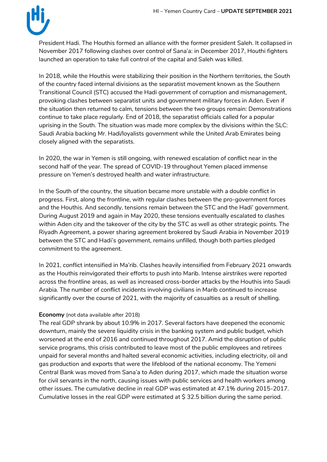

President Hadi. The Houthis formed an alliance with the former president Saleh. It collapsed in November 2017 following clashes over control of Sana'a: in December 2017, Houthi fighters launched an operation to take full control of the capital and Saleh was killed.

In 2018, while the Houthis were stabilizing their position in the Northern territories, the South of the country faced internal divisions as the separatist movement known as the Southern Transitional Council (STC) accused the Hadi government of corruption and mismanagement, provoking clashes between separatist units and government military forces in Aden. Even if the situation then returned to calm, tensions between the two groups remain: Demonstrations continue to take place regularly. End of 2018, the separatist officials called for a popular uprising in the South. The situation was made more complex by the divisions within the SLC: Saudi Arabia backing Mr. Hadi/loyalists government while the United Arab Emirates being closely aligned with the separatists.

In 2020, the war in Yemen is still ongoing, with renewed escalation of conflict near in the second half of the year. The spread of COVID-19 throughout Yemen placed immense pressure on Yemen's destroyed health and water infrastructure.

In the South of the country, the situation became more unstable with a double conflict in progress. First, along the frontline, with regular clashes between the pro-government forces and the Houthis. And secondly, tensions remain between the STC and the Hadi' government. During August 2019 and again in May 2020, these tensions eventually escalated to clashes within Aden city and the takeover of the city by the STC as well as other strategic points. The Riyadh Agreement, a power sharing agreement brokered by Saudi Arabia in November 2019 between the STC and Hadi's government, remains unfilled, though both parties pledged commitment to the agreement.

In 2021, conflict intensified in Ma'rib. Clashes heavily intensified from February 2021 onwards as the Houthis reinvigorated their efforts to push into Marib. Intense airstrikes were reported across the frontline areas, as well as increased cross-border attacks by the Houthis into Saudi Arabia. The number of conflict incidents involving civilians in Marib continued to increase significantly over the course of 2021, with the majority of casualties as a result of shelling.

#### **Economy** (not data available after 2018)

The real GDP shrank by about 10.9% in 2017. Several factors have deepened the economic downturn, mainly the severe liquidity crisis in the banking system and public budget, which worsened at the end of 2016 and continued throughout 2017. Amid the disruption of public service programs, this crisis contributed to leave most of the public employees and retirees unpaid for several months and halted several economic activities, including electricity, oil and gas production and exports that were the lifeblood of the national economy. The Yemeni Central Bank was moved from Sana'a to Aden during 2017, which made the situation worse for civil servants in the north, causing issues with public services and health workers among other issues. The cumulative decline in real GDP was estimated at 47.1% during 2015-2017. Cumulative losses in the real GDP were estimated at \$ 32.5 billion during the same period.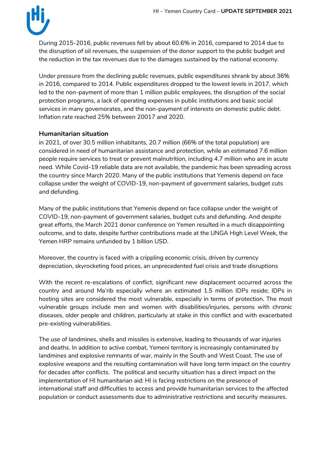

During 2015-2016, public revenues fell by about 60.6% in 2016, compared to 2014 due to the disruption of oil revenues, the suspension of the donor support to the public budget and the reduction in the tax revenues due to the damages sustained by the national economy.

Under pressure from the declining public revenues, public expenditures shrank by about 36% in 2016, compared to 2014. Public expenditures dropped to the lowest levels in 2017, which led to the non-payment of more than 1 million public employees, the disruption of the social protection programs, a lack of operating expenses in public institutions and basic social services in many governorates, and the non-payment of interests on domestic public debt. Inflation rate reached 25% between 20017 and 2020.

#### **Humanitarian situation**

in 2021, of over 30.5 million inhabitants, 20.7 million (66% of the total population) are considered in need of humanitarian assistance and protection, while an estimated 7.6 million people require services to treat or prevent malnutrition, including 4.7 million who are in acute need. While Covid-19 reliable data are not available, the pandemic has been spreading across the country since March 2020. Many of the public institutions that Yemenis depend on face collapse under the weight of COVID-19, non-payment of government salaries, budget cuts and defunding.

Many of the public institutions that Yemenis depend on face collapse under the weight of COVID-19, non-payment of government salaries, budget cuts and defunding. And despite great efforts, the March 2021 donor conference on Yemen resulted in a much disappointing outcome, and to date, despite further contributions made at the UNGA High Level Week, the Yemen HRP remains unfunded by 1 billion USD.

Moreover, the country is faced with a crippling economic crisis, driven by currency depreciation, skyrocketing food prices, an unprecedented fuel crisis and trade disruptions

With the recent re-escalations of conflict, significant new displacement occurred across the country and around Ma'rib especially where an estimated 1.5 million IDPs reside; IDPs in hosting sites are considered the most vulnerable, especially in terms of protection. The most vulnerable groups include men and women with disabilities/injuries, persons with chronic diseases, older people and children, particularly at stake in this conflict and with exacerbated pre-existing vulnerabilities.

The use of landmines, shells and missiles is extensive, leading to thousands of war injuries and deaths. In addition to active combat, Yemeni territory is increasingly contaminated by landmines and explosive remnants of war, mainly in the South and West Coast. The use of explosive weapons and the resulting contamination will have long term impact on the country for decades after conflicts. The political and security situation has a direct impact on the implementation of HI humanitarian aid: HI is facing restrictions on the presence of international staff and difficulties to access and provide humanitarian services to the affected population or conduct assessments due to administrative restrictions and security measures.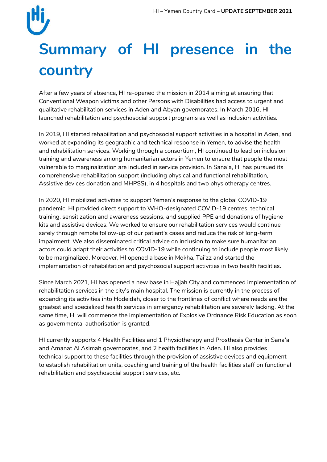# **Summary of HI presence in the country**

After a few years of absence, HI re-opened the mission in 2014 aiming at ensuring that Conventional Weapon victims and other Persons with Disabilities had access to urgent and qualitative rehabilitation services in Aden and Abyan governorates. In March 2016, HI launched rehabilitation and psychosocial support programs as well as inclusion activities.

In 2019, HI started rehabilitation and psychosocial support activities in a hospital in Aden, and worked at expanding its geographic and technical response in Yemen, to advise the health and rehabilitation services. Working through a consortium, HI continued to lead on inclusion training and awareness among humanitarian actors in Yemen to ensure that people the most vulnerable to marginalization are included in service provision. In Sana'a, HI has pursued its comprehensive rehabilitation support (including physical and functional rehabilitation, Assistive devices donation and MHPSS), in 4 hospitals and two physiotherapy centres.

In 2020, HI mobilized activities to support Yemen's response to the global COVID-19 pandemic. HI provided direct support to WHO-designated COVID-19 centres, technical training, sensitization and awareness sessions, and supplied PPE and donations of hygiene kits and assistive devices. We worked to ensure our rehabilitation services would continue safely through remote follow-up of our patient's cases and reduce the risk of long-term impairment. We also disseminated critical advice on inclusion to make sure humanitarian actors could adapt their activities to COVID-19 while continuing to include people most likely to be marginalized. Moreover, HI opened a base in Mokha, Tai'zz and started the implementation of rehabilitation and psychosocial support activities in two health facilities.

Since March 2021, HI has opened a new base in Hajjah City and commenced implementation of rehabilitation services in the city's main hospital. The mission is currently in the process of expanding its activities into Hodeidah, closer to the frontlines of conflict where needs are the greatest and specialized health services in emergency rehabilitation are severely lacking. At the same time, HI will commence the implementation of Explosive Ordnance Risk Education as soon as governmental authorisation is granted.

HI currently supports 4 Health Facilities and 1 Physiotherapy and Prosthesis Center in Sana'a and Amanat Al Asimah governorates, and 2 health facilities in Aden. HI also provides technical support to these facilities through the provision of assistive devices and equipment to establish rehabilitation units, coaching and training of the health facilities staff on functional rehabilitation and psychosocial support services, etc.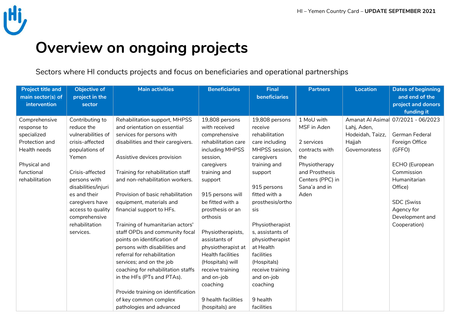

# **Overview on ongoing projects**

Sectors where HI conducts projects and focus on beneficiaries and operational partnerships

| <b>Project title and</b><br>main sector(s) of<br>intervention | <b>Objective of</b><br>project in the<br>sector | <b>Main activities</b>             | <b>Beneficiaries</b>     | <b>Final</b><br>beneficiaries | <b>Partners</b>  | Location         | <b>Dates of beginning</b><br>and end of the<br>project and donors |
|---------------------------------------------------------------|-------------------------------------------------|------------------------------------|--------------------------|-------------------------------|------------------|------------------|-------------------------------------------------------------------|
|                                                               |                                                 |                                    |                          |                               |                  |                  | funding it                                                        |
| Comprehensive                                                 | Contributing to                                 | Rehabilitation support, MHPSS      | 19,808 persons           | 19,808 persons                | 1 MoU with       |                  | Amanat Al Asima 07/2021 - 06/2023                                 |
| response to                                                   | reduce the                                      | and orientation on essential       | with received            | receive                       | MSF in Aden      | Lahj, Aden,      |                                                                   |
| specialized                                                   | vulnerabilities of                              | services for persons with          | comprehensive            | rehabilitation                |                  | Hodeidah, Taizz, | German Federal                                                    |
| Protection and                                                | crisis-affected                                 | disabilities and their caregivers. | rehabilitation care      | care including                | 2 services       | Hajjah           | Foreign Office                                                    |
| Health needs                                                  | populations of                                  |                                    | including MHPSS          | MHPSS session,                | contracts with   | Governoratess    | (GFFO)                                                            |
|                                                               | Yemen                                           | Assistive devices provision        | session,                 | caregivers                    | the              |                  |                                                                   |
| Physical and                                                  |                                                 |                                    | caregivers               | training and                  | Physiotherapy    |                  | ECHO (European                                                    |
| functional                                                    | Crisis-affected                                 | Training for rehabilitation staff  | training and             | support                       | and Prosthesis   |                  | Commission                                                        |
| rehabilitation                                                | persons with                                    | and non-rehabilitation workers.    | support                  |                               | Centers (PPC) in |                  | Humanitarian                                                      |
|                                                               | disabilities/injuri                             |                                    |                          | 915 persons                   | Sana'a and in    |                  | Office)                                                           |
|                                                               | es and their                                    | Provision of basic rehabilitation  | 915 persons will         | fitted with a                 | Aden             |                  |                                                                   |
|                                                               | caregivers have                                 | equipment, materials and           | be fitted with a         | prosthesis/ortho              |                  |                  | <b>SDC</b> (Swiss                                                 |
|                                                               | access to quality                               | financial support to HFs.          | prosthesis or an         | sis                           |                  |                  | Agency for                                                        |
|                                                               | comprehensive                                   |                                    | orthosis                 |                               |                  |                  | Development and                                                   |
|                                                               | rehabilitation                                  | Training of humanitarian actors'   |                          | Physiotherapist               |                  |                  | Cooperation)                                                      |
|                                                               | services.                                       | staff OPDs and community focal     | Physiotherapists,        | s, assistants of              |                  |                  |                                                                   |
|                                                               |                                                 | points on identification of        | assistants of            | physiotherapist               |                  |                  |                                                                   |
|                                                               |                                                 | persons with disabilities and      | physiotherapist at       | at Health                     |                  |                  |                                                                   |
|                                                               |                                                 | referral for rehabilitation        | <b>Health facilities</b> | facilities                    |                  |                  |                                                                   |
|                                                               |                                                 | services; and on the job           | (Hospitals) will         | (Hospitals)                   |                  |                  |                                                                   |
|                                                               |                                                 | coaching for rehabilitation staffs | receive training         | receive training              |                  |                  |                                                                   |
|                                                               |                                                 | in the HFs (PTs and PTAs).         | and on-job               | and on-job                    |                  |                  |                                                                   |
|                                                               |                                                 |                                    | coaching                 | coaching                      |                  |                  |                                                                   |
|                                                               |                                                 | Provide training on identification |                          |                               |                  |                  |                                                                   |
|                                                               |                                                 | of key common complex              | 9 health facilities      | 9 health                      |                  |                  |                                                                   |
|                                                               |                                                 | pathologies and advanced           | (hospitals) are          | facilities                    |                  |                  |                                                                   |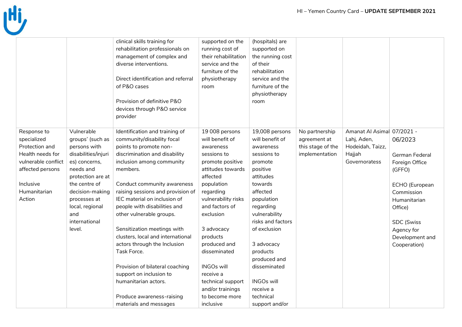

|                     |                     | clinical skills training for       | supported on the     | (hospitals) are   |                   |                           |                 |
|---------------------|---------------------|------------------------------------|----------------------|-------------------|-------------------|---------------------------|-----------------|
|                     |                     | rehabilitation professionals on    | running cost of      | supported on      |                   |                           |                 |
|                     |                     | management of complex and          | their rehabilitation | the running cost  |                   |                           |                 |
|                     |                     | diverse interventions.             | service and the      | of their          |                   |                           |                 |
|                     |                     |                                    | furniture of the     | rehabilitation    |                   |                           |                 |
|                     |                     | Direct identification and referral | physiotherapy        | service and the   |                   |                           |                 |
|                     |                     | of P&O cases                       | room                 | furniture of the  |                   |                           |                 |
|                     |                     |                                    |                      | physiotherapy     |                   |                           |                 |
|                     |                     | Provision of definitive P&O        |                      | room              |                   |                           |                 |
|                     |                     | devices through P&O service        |                      |                   |                   |                           |                 |
|                     |                     | provider                           |                      |                   |                   |                           |                 |
|                     |                     |                                    |                      |                   |                   |                           |                 |
| Response to         | Vulnerable          | Identification and training of     | 19 008 persons       | 19,008 persons    | No partnership    | Amanat Al Asima 07/2021 - |                 |
| specialized         | groups' (such as    | community/disability focal         | will benefit of      | will benefit of   | agreement at      | Lahj, Aden,               | 06/2023         |
| Protection and      | persons with        | points to promote non-             | awareness            | awareness         | this stage of the | Hodeidah, Taizz,          |                 |
| Health needs for    | disabilities/injuri | discrimination and disability      | sessions to          | sessions to       | implementation    | Hajjah                    | German Federal  |
| vulnerable conflict | es) concerns,       | inclusion among community          | promote positive     | promote           |                   | Governoratess             | Foreign Office  |
| affected persons    | needs and           | members.                           | attitudes towards    | positive          |                   |                           | (GFFO)          |
|                     | protection are at   |                                    | affected             | attitudes         |                   |                           |                 |
| Inclusive           | the centre of       | Conduct community awareness        | population           | towards           |                   |                           | ECHO (European  |
| Humanitarian        | decision-making     | raising sessions and provision of  | regarding            | affected          |                   |                           | Commission      |
| Action              | processes at        | IEC material on inclusion of       | vulnerability risks  | population        |                   |                           | Humanitarian    |
|                     | local, regional     | people with disabilities and       | and factors of       | regarding         |                   |                           | Office)         |
|                     | and                 | other vulnerable groups.           | exclusion            | vulnerability     |                   |                           |                 |
|                     | international       |                                    |                      | risks and factors |                   |                           | SDC (Swiss      |
|                     | level.              | Sensitization meetings with        | 3 advocacy           | of exclusion      |                   |                           | Agency for      |
|                     |                     | clusters, local and international  | products             |                   |                   |                           | Development and |
|                     |                     | actors through the Inclusion       | produced and         | 3 advocacy        |                   |                           |                 |
|                     |                     | Task Force.                        | disseminated         | products          |                   |                           | Cooperation)    |
|                     |                     |                                    |                      |                   |                   |                           |                 |
|                     |                     |                                    |                      | produced and      |                   |                           |                 |
|                     |                     | Provision of bilateral coaching    | <b>INGOs will</b>    | disseminated      |                   |                           |                 |
|                     |                     | support on inclusion to            | receive a            |                   |                   |                           |                 |
|                     |                     | humanitarian actors.               | technical support    | <b>INGOs will</b> |                   |                           |                 |
|                     |                     |                                    | and/or trainings     | receive a         |                   |                           |                 |
|                     |                     | Produce awareness-raising          | to become more       | technical         |                   |                           |                 |
|                     |                     | materials and messages             | inclusive            | support and/or    |                   |                           |                 |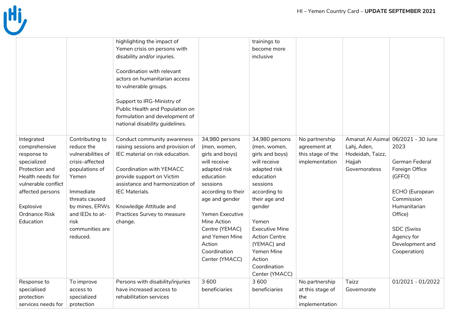

|                                                                                                                                                                                       |                                                                                                                                                                                                              | highlighting the impact of<br>Yemen crisis on persons with<br>disability and/or injuries.                                                                                                                                                                                                    |                                                                                                                                                                                                                                                                      | trainings to<br>become more<br>inclusive                                                                                                                                                                                                                               |                                                                       |                                                            |                                                                                                                                                                                                                           |
|---------------------------------------------------------------------------------------------------------------------------------------------------------------------------------------|--------------------------------------------------------------------------------------------------------------------------------------------------------------------------------------------------------------|----------------------------------------------------------------------------------------------------------------------------------------------------------------------------------------------------------------------------------------------------------------------------------------------|----------------------------------------------------------------------------------------------------------------------------------------------------------------------------------------------------------------------------------------------------------------------|------------------------------------------------------------------------------------------------------------------------------------------------------------------------------------------------------------------------------------------------------------------------|-----------------------------------------------------------------------|------------------------------------------------------------|---------------------------------------------------------------------------------------------------------------------------------------------------------------------------------------------------------------------------|
|                                                                                                                                                                                       |                                                                                                                                                                                                              | Coordination with relevant<br>actors on humanitarian access<br>to vulnerable groups.<br>Support to IRG-Ministry of<br>Public Health and Population on<br>formulation and development of                                                                                                      |                                                                                                                                                                                                                                                                      |                                                                                                                                                                                                                                                                        |                                                                       |                                                            |                                                                                                                                                                                                                           |
|                                                                                                                                                                                       |                                                                                                                                                                                                              | national disability guidelines.                                                                                                                                                                                                                                                              |                                                                                                                                                                                                                                                                      |                                                                                                                                                                                                                                                                        |                                                                       |                                                            |                                                                                                                                                                                                                           |
| Integrated<br>comprehensive<br>response to<br>specialized<br>Protection and<br>Health needs for<br>vulnerable conflict<br>affected persons<br>Explosive<br>Ordnance Risk<br>Education | Contributing to<br>reduce the<br>vulnerabilities of<br>crisis-affected<br>populations of<br>Yemen<br>Immediate<br>threats caused<br>by mines, ERWs<br>and IEDs to at-<br>risk<br>communities are<br>reduced. | Conduct community awareness<br>raising sessions and provision of<br>IEC material on risk education.<br>Coordination with YEMACC<br>provide support on Victim<br>assistance and harmonization of<br><b>IEC Materials.</b><br>Knowledge Attitude and<br>Practices Survey to measure<br>change. | 34,980 persons<br>(men, women,<br>girls and boys)<br>will receive<br>adapted risk<br>education<br>sessions<br>according to their<br>age and gender<br>Yemen Executive<br>Mine Action<br>Centre (YEMAC)<br>and Yemen Mine<br>Action<br>Coordination<br>Center (YMACC) | 34,980 persons<br>(men, women,<br>girls and boys)<br>will receive<br>adapted risk<br>education<br>sessions<br>according to<br>their age and<br>gender<br>Yemen<br><b>Executive Mine</b><br><b>Action Centre</b><br>(YEMAC) and<br>Yemen Mine<br>Action<br>Coordination | No partnership<br>agreement at<br>this stage of the<br>implementation | Lahj, Aden,<br>Hodeidah, Taizz,<br>Hajjah<br>Governoratess | Amanat Al Asimal 06/2021 - 30 June<br>2023<br>German Federal<br>Foreign Office<br>(GFFO)<br>ECHO (European<br>Commission<br>Humanitarian<br>Office)<br><b>SDC</b> (Swiss<br>Agency for<br>Development and<br>Cooperation) |
| Response to                                                                                                                                                                           | To improve                                                                                                                                                                                                   | Persons with disability/injuries                                                                                                                                                                                                                                                             | 3600                                                                                                                                                                                                                                                                 | Center (YMACC)<br>3600                                                                                                                                                                                                                                                 | No partnership                                                        | Taizz                                                      | $01/2021 - 01/2022$                                                                                                                                                                                                       |
| specialised<br>protection<br>services needs for                                                                                                                                       | access to<br>specialized<br>protection                                                                                                                                                                       | have increased access to<br>rehabilitation services                                                                                                                                                                                                                                          | beneficiaries                                                                                                                                                                                                                                                        | beneficiaries                                                                                                                                                                                                                                                          | at this stage of<br>the<br>implementation                             | Governorate                                                |                                                                                                                                                                                                                           |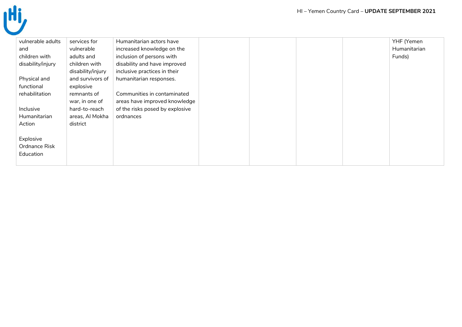| vulnerable adults | services for      | Humanitarian actors have        |  |  | YHF (Yemen   |
|-------------------|-------------------|---------------------------------|--|--|--------------|
| and               | vulnerable        | increased knowledge on the      |  |  | Humanitarian |
| children with     | adults and        | inclusion of persons with       |  |  | Funds)       |
| disability/injury | children with     | disability and have improved    |  |  |              |
|                   | disability/injury | inclusive practices in their    |  |  |              |
| Physical and      | and survivors of  | humanitarian responses.         |  |  |              |
| functional        | explosive         |                                 |  |  |              |
| rehabilitation    | remnants of       | Communities in contaminated     |  |  |              |
|                   | war, in one of    | areas have improved knowledge   |  |  |              |
| Inclusive         | hard-to-reach     | of the risks posed by explosive |  |  |              |
| Humanitarian      | areas, Al Mokha   | ordnances                       |  |  |              |
| Action            | district          |                                 |  |  |              |
|                   |                   |                                 |  |  |              |
| Explosive         |                   |                                 |  |  |              |
| Ordnance Risk     |                   |                                 |  |  |              |
| Education         |                   |                                 |  |  |              |
|                   |                   |                                 |  |  |              |